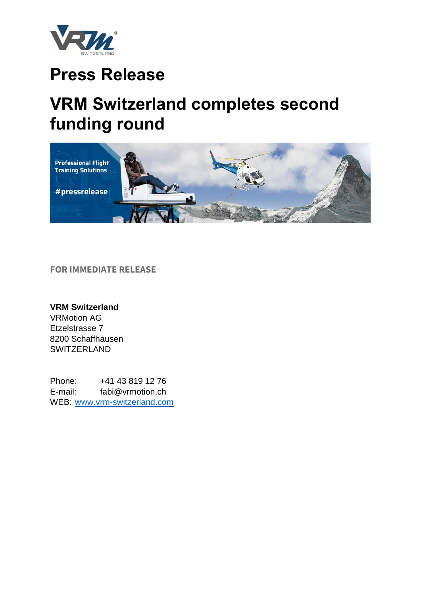

## **Press Release**

# **VRM Switzerland completes second funding round**



**FOR IMMEDIATE RELEASE**

### **VRM Switzerland**

VRMotion AG Etzelstrasse 7 8200 Schaffhausen **SWITZERLAND** 

Phone: +41 43 819 12 76 E-mail: fabi@vrmotion.ch WEB: [www.vrm-switzerland.com](http://www.vrm-switzerland.com/)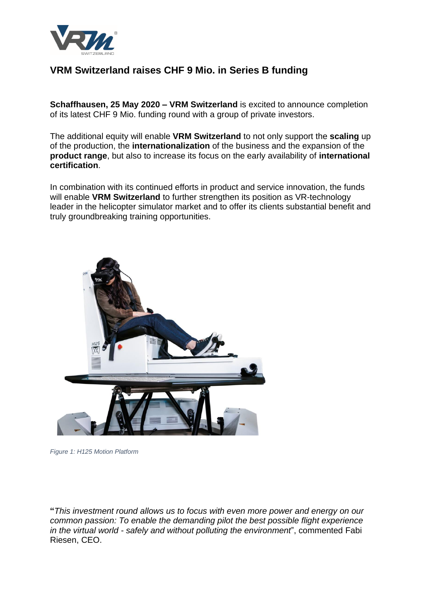

## **VRM Switzerland raises CHF 9 Mio. in Series B funding**

**Schaffhausen, 25 May 2020 – VRM Switzerland** is excited to announce completion of its latest CHF 9 Mio. funding round with a group of private investors.

The additional equity will enable **VRM Switzerland** to not only support the **scaling** up of the production, the **internationalization** of the business and the expansion of the **product range**, but also to increase its focus on the early availability of **international certification**.

In combination with its continued efforts in product and service innovation, the funds will enable **VRM Switzerland** to further strengthen its position as VR-technology leader in the helicopter simulator market and to offer its clients substantial benefit and truly groundbreaking training opportunities.



*Figure 1: H125 Motion Platform*

**"***This investment round allows us to focus with even more power and energy on our common passion: To enable the demanding pilot the best possible flight experience in the virtual world - safely and without polluting the environment*", commented Fabi Riesen, CEO.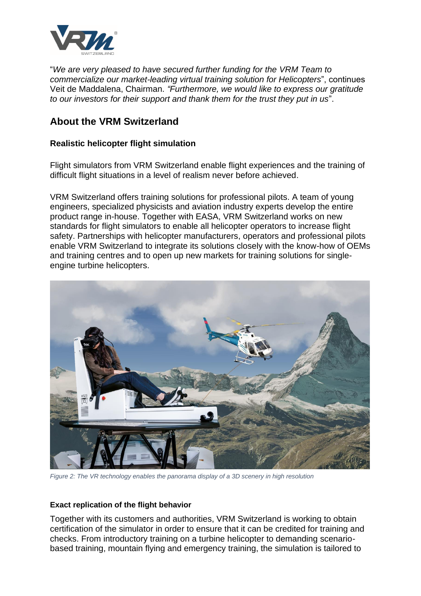

"*We are very pleased to have secured further funding for the VRM Team to commercialize our market-leading virtual training solution for Helicopters*", continues Veit de Maddalena, Chairman. *"Furthermore, we would like to express our gratitude to our investors for their support and thank them for the trust they put in us*".

### **About the VRM Switzerland**

### **Realistic helicopter flight simulation**

Flight simulators from VRM Switzerland enable flight experiences and the training of difficult flight situations in a level of realism never before achieved.

VRM Switzerland offers training solutions for professional pilots. A team of young engineers, specialized physicists and aviation industry experts develop the entire product range in-house. Together with EASA, VRM Switzerland works on new standards for flight simulators to enable all helicopter operators to increase flight safety. Partnerships with helicopter manufacturers, operators and professional pilots enable VRM Switzerland to integrate its solutions closely with the know-how of OEMs and training centres and to open up new markets for training solutions for singleengine turbine helicopters.



*Figure 2: The VR technology enables the panorama display of a 3D scenery in high resolution*

#### **Exact replication of the flight behavior**

Together with its customers and authorities, VRM Switzerland is working to obtain certification of the simulator in order to ensure that it can be credited for training and checks. From introductory training on a turbine helicopter to demanding scenariobased training, mountain flying and emergency training, the simulation is tailored to